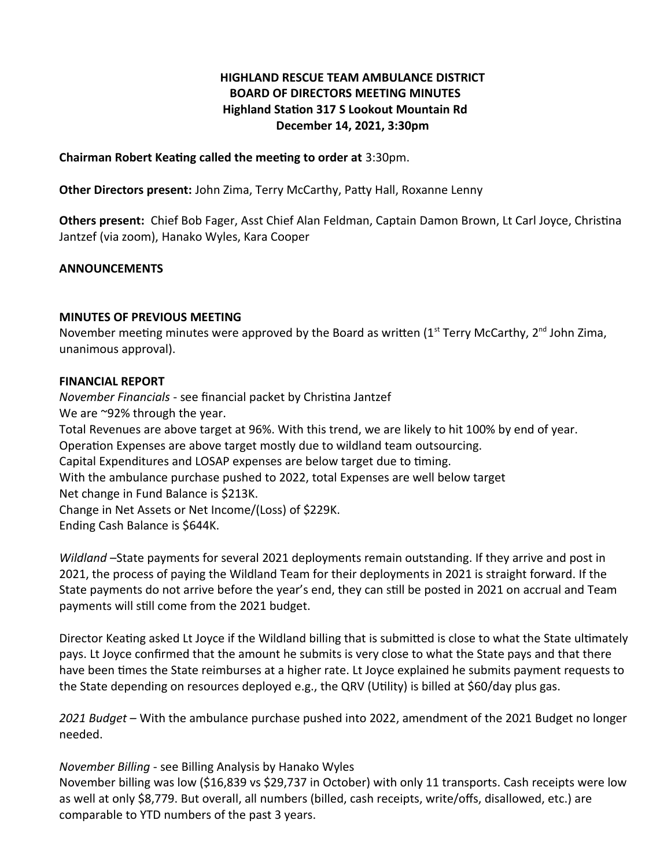## **HIGHLAND RESCUE TEAM AMBULANCE DISTRICT BOARD OF DIRECTORS MEETING MINUTES Highland Station 317 S Lookout Mountain Rd December 14, 2021, 3:30pm**

**Chairman Robert Keating called the meeting to order at** 3:30pm.

**Other Directors present:** John Zima, Terry McCarthy, Patty Hall, Roxanne Lenny

**Others present:** Chief Bob Fager, Asst Chief Alan Feldman, Captain Damon Brown, Lt Carl Joyce, Christina Jantzef (via zoom), Hanako Wyles, Kara Cooper

### **ANNOUNCEMENTS**

#### **MINUTES OF PREVIOUS MEETING**

November meeting minutes were approved by the Board as written (1<sup>st</sup> Terry McCarthy, 2<sup>nd</sup> John Zima, unanimous approval).

#### **FINANCIAL REPORT**

*November Financials* - see financial packet by Christina Jantzef We are ~92% through the year. Total Revenues are above target at 96%. With this trend, we are likely to hit 100% by end of year. Operation Expenses are above target mostly due to wildland team outsourcing. Capital Expenditures and LOSAP expenses are below target due to timing. With the ambulance purchase pushed to 2022, total Expenses are well below target Net change in Fund Balance is \$213K. Change in Net Assets or Net Income/(Loss) of \$229K. Ending Cash Balance is \$644K.

*Wildland* –State payments for several 2021 deployments remain outstanding. If they arrive and post in 2021, the process of paying the Wildland Team for their deployments in 2021 is straight forward. If the State payments do not arrive before the year's end, they can still be posted in 2021 on accrual and Team payments will still come from the 2021 budget.

Director Keating asked Lt Joyce if the Wildland billing that is submitted is close to what the State ultimately pays. Lt Joyce confirmed that the amount he submits is very close to what the State pays and that there have been times the State reimburses at a higher rate. Lt Joyce explained he submits payment requests to the State depending on resources deployed e.g., the QRV (Utility) is billed at \$60/day plus gas.

*2021 Budget –* With the ambulance purchase pushed into 2022, amendment of the 2021 Budget no longer needed.

### *November Billing* - see Billing Analysis by Hanako Wyles

November billing was low (\$16,839 vs \$29,737 in October) with only 11 transports. Cash receipts were low as well at only \$8,779. But overall, all numbers (billed, cash receipts, write/offs, disallowed, etc.) are comparable to YTD numbers of the past 3 years.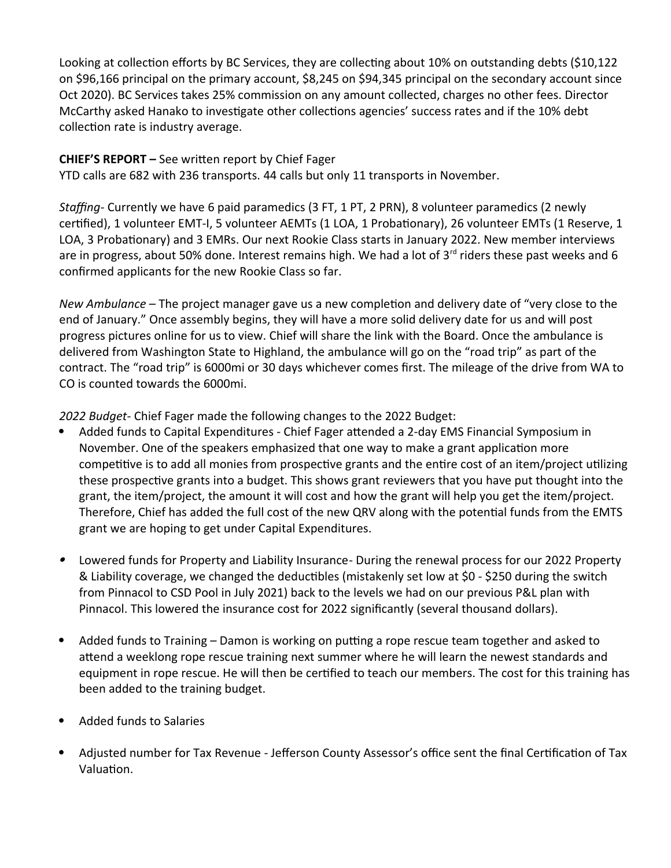Looking at collection efforts by BC Services, they are collecting about 10% on outstanding debts (\$10,122 on \$96,166 principal on the primary account, \$8,245 on \$94,345 principal on the secondary account since Oct 2020). BC Services takes 25% commission on any amount collected, charges no other fees. Director McCarthy asked Hanako to investigate other collections agencies' success rates and if the 10% debt collection rate is industry average.

## **CHIEF'S REPORT –** See written report by Chief Fager

YTD calls are 682 with 236 transports. 44 calls but only 11 transports in November.

*Staffing-* Currently we have 6 paid paramedics (3 FT, 1 PT, 2 PRN), 8 volunteer paramedics (2 newly certified), 1 volunteer EMT-I, 5 volunteer AEMTs (1 LOA, 1 Probationary), 26 volunteer EMTs (1 Reserve, 1 LOA, 3 Probationary) and 3 EMRs. Our next Rookie Class starts in January 2022. New member interviews are in progress, about 50% done. Interest remains high. We had a lot of  $3^{rd}$  riders these past weeks and 6 confirmed applicants for the new Rookie Class so far.

*New Ambulance –* The project manager gave us a new completion and delivery date of "very close to the end of January." Once assembly begins, they will have a more solid delivery date for us and will post progress pictures online for us to view. Chief will share the link with the Board. Once the ambulance is delivered from Washington State to Highland, the ambulance will go on the "road trip" as part of the contract. The "road trip" is 6000mi or 30 days whichever comes first. The mileage of the drive from WA to CO is counted towards the 6000mi.

*2022 Budget*- Chief Fager made the following changes to the 2022 Budget:

- Added funds to Capital Expenditures Chief Fager attended a 2-day EMS Financial Symposium in November. One of the speakers emphasized that one way to make a grant application more competitive is to add all monies from prospective grants and the entire cost of an item/project utilizing these prospective grants into a budget. This shows grant reviewers that you have put thought into the grant, the item/project, the amount it will cost and how the grant will help you get the item/project. Therefore, Chief has added the full cost of the new QRV along with the potential funds from the EMTS grant we are hoping to get under Capital Expenditures.
- . Lowered funds for Property and Liability Insurance*-* During the renewal process for our 2022 Property & Liability coverage, we changed the deductibles (mistakenly set low at \$0 - \$250 during the switch from Pinnacol to CSD Pool in July 2021) back to the levels we had on our previous P&L plan with Pinnacol. This lowered the insurance cost for 2022 significantly (several thousand dollars).
- Added funds to Training Damon is working on putting a rope rescue team together and asked to attend a weeklong rope rescue training next summer where he will learn the newest standards and equipment in rope rescue. He will then be certified to teach our members. The cost for this training has been added to the training budget.
- Added funds to Salaries
- Adjusted number for Tax Revenue Jefferson County Assessor's office sent the final Certification of Tax Valuation.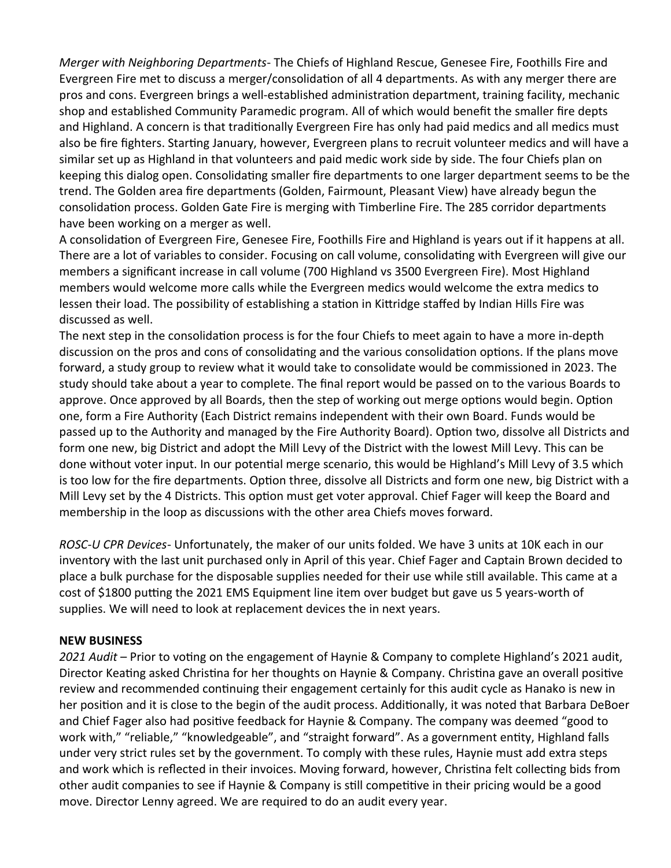*Merger with Neighboring Departments*- The Chiefs of Highland Rescue, Genesee Fire, Foothills Fire and Evergreen Fire met to discuss a merger/consolidation of all 4 departments. As with any merger there are pros and cons. Evergreen brings a well-established administration department, training facility, mechanic shop and established Community Paramedic program. All of which would benefit the smaller fire depts and Highland. A concern is that traditionally Evergreen Fire has only had paid medics and all medics must also be fire fighters. Starting January, however, Evergreen plans to recruit volunteer medics and will have a similar set up as Highland in that volunteers and paid medic work side by side. The four Chiefs plan on keeping this dialog open. Consolidating smaller fire departments to one larger department seems to be the trend. The Golden area fire departments (Golden, Fairmount, Pleasant View) have already begun the consolidation process. Golden Gate Fire is merging with Timberline Fire. The 285 corridor departments have been working on a merger as well.

A consolidation of Evergreen Fire, Genesee Fire, Foothills Fire and Highland is years out if it happens at all. There are a lot of variables to consider. Focusing on call volume, consolidating with Evergreen will give our members a significant increase in call volume (700 Highland vs 3500 Evergreen Fire). Most Highland members would welcome more calls while the Evergreen medics would welcome the extra medics to lessen their load. The possibility of establishing a station in Kittridge staffed by Indian Hills Fire was discussed as well.

The next step in the consolidation process is for the four Chiefs to meet again to have a more in-depth discussion on the pros and cons of consolidating and the various consolidation options. If the plans move forward, a study group to review what it would take to consolidate would be commissioned in 2023. The study should take about a year to complete. The final report would be passed on to the various Boards to approve. Once approved by all Boards, then the step of working out merge options would begin. Option one, form a Fire Authority (Each District remains independent with their own Board. Funds would be passed up to the Authority and managed by the Fire Authority Board). Option two, dissolve all Districts and form one new, big District and adopt the Mill Levy of the District with the lowest Mill Levy. This can be done without voter input. In our potential merge scenario, this would be Highland's Mill Levy of 3.5 which is too low for the fire departments. Option three, dissolve all Districts and form one new, big District with a Mill Levy set by the 4 Districts. This option must get voter approval. Chief Fager will keep the Board and membership in the loop as discussions with the other area Chiefs moves forward.

*ROSC-U CPR Devices*- Unfortunately, the maker of our units folded. We have 3 units at 10K each in our inventory with the last unit purchased only in April of this year. Chief Fager and Captain Brown decided to place a bulk purchase for the disposable supplies needed for their use while still available. This came at a cost of \$1800 putting the 2021 EMS Equipment line item over budget but gave us 5 years-worth of supplies. We will need to look at replacement devices the in next years.

### **NEW BUSINESS**

*2021 Audit* – Prior to voting on the engagement of Haynie & Company to complete Highland's 2021 audit, Director Keating asked Christina for her thoughts on Haynie & Company. Christina gave an overall positive review and recommended continuing their engagement certainly for this audit cycle as Hanako is new in her position and it is close to the begin of the audit process. Additionally, it was noted that Barbara DeBoer and Chief Fager also had positive feedback for Haynie & Company. The company was deemed "good to work with," "reliable," "knowledgeable", and "straight forward". As a government entity, Highland falls under very strict rules set by the government. To comply with these rules, Haynie must add extra steps and work which is reflected in their invoices. Moving forward, however, Christina felt collecting bids from other audit companies to see if Haynie & Company is still competitive in their pricing would be a good move. Director Lenny agreed. We are required to do an audit every year.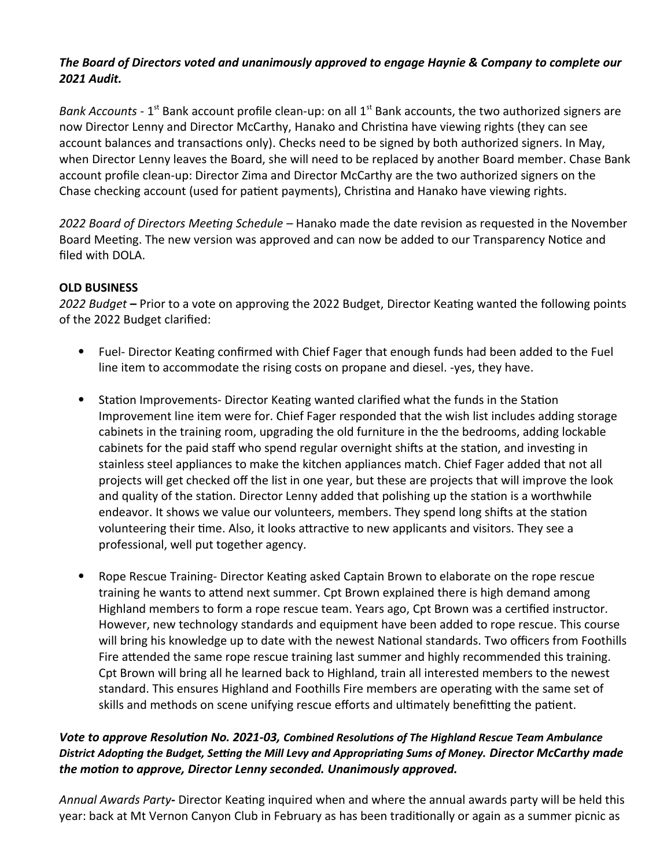# *The Board of Directors voted and unanimously approved to engage Haynie & Company to complete our 2021 Audit.*

*Bank Accounts* - 1<sup>st</sup> Bank account profile clean-up: on all 1<sup>st</sup> Bank accounts, the two authorized signers are now Director Lenny and Director McCarthy, Hanako and Christina have viewing rights (they can see account balances and transactions only). Checks need to be signed by both authorized signers. In May, when Director Lenny leaves the Board, she will need to be replaced by another Board member. Chase Bank account profile clean-up: Director Zima and Director McCarthy are the two authorized signers on the Chase checking account (used for patient payments), Christina and Hanako have viewing rights.

*2022 Board of Directors Meeting Schedule* – Hanako made the date revision as requested in the November Board Meeting. The new version was approved and can now be added to our Transparency Notice and filed with DOLA.

## **OLD BUSINESS**

*2022 Budget* **–** Prior to a vote on approving the 2022 Budget, Director Keating wanted the following points of the 2022 Budget clarified:

- Fuel- Director Keating confirmed with Chief Fager that enough funds had been added to the Fuel line item to accommodate the rising costs on propane and diesel. -yes, they have.
- Station Improvements- Director Keating wanted clarified what the funds in the Station Improvement line item were for. Chief Fager responded that the wish list includes adding storage cabinets in the training room, upgrading the old furniture in the the bedrooms, adding lockable cabinets for the paid staff who spend regular overnight shifts at the station, and investing in stainless steel appliances to make the kitchen appliances match. Chief Fager added that not all projects will get checked off the list in one year, but these are projects that will improve the look and quality of the station. Director Lenny added that polishing up the station is a worthwhile endeavor. It shows we value our volunteers, members. They spend long shifts at the station volunteering their time. Also, it looks attractive to new applicants and visitors. They see a professional, well put together agency.
- Rope Rescue Training- Director Keating asked Captain Brown to elaborate on the rope rescue training he wants to attend next summer. Cpt Brown explained there is high demand among Highland members to form a rope rescue team. Years ago, Cpt Brown was a certified instructor. However, new technology standards and equipment have been added to rope rescue. This course will bring his knowledge up to date with the newest National standards. Two officers from Foothills Fire attended the same rope rescue training last summer and highly recommended this training. Cpt Brown will bring all he learned back to Highland, train all interested members to the newest standard. This ensures Highland and Foothills Fire members are operating with the same set of skills and methods on scene unifying rescue efforts and ultimately benefitting the patient.

## *Vote to approve Resolution No. 2021-03, Combined Resolutions of The Highland Rescue Team Ambulance District Adopting the Budget, Setting the Mill Levy and Appropriating Sums of Money. Director McCarthy made the motion to approve, Director Lenny seconded. Unanimously approved.*

*Annual Awards Party***-** Director Keating inquired when and where the annual awards party will be held this year: back at Mt Vernon Canyon Club in February as has been traditionally or again as a summer picnic as